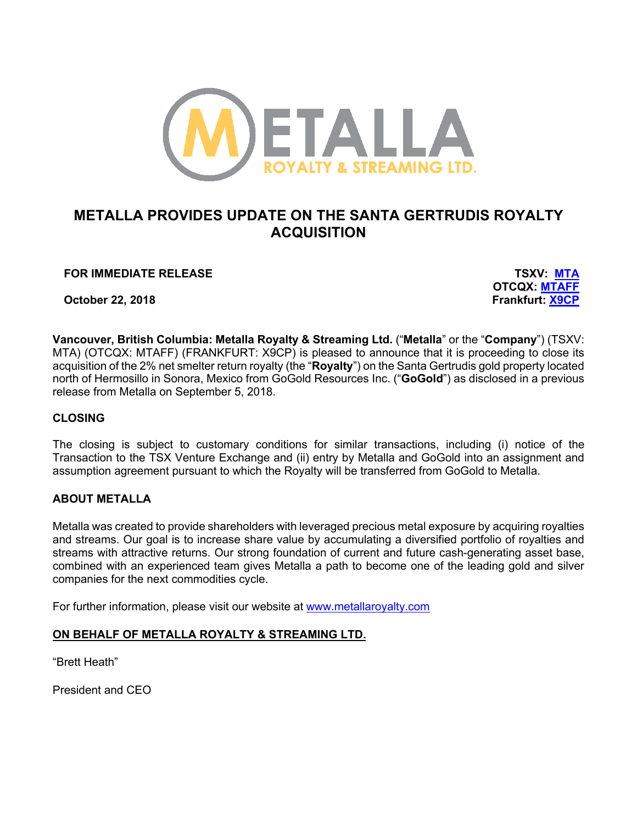

# **METALLA PROVIDES UPDATE ON THE SANTA GERTRUDIS ROYALTY ACQUISITION**

## **FOR IMMEDIATE RELEASE TSXV: MTA**

**October 22, 2018** 

**OTCQX: MTAFF**<br>Frankfurt: X9CP

**Vancouver, British Columbia: Metalla Royalty & Streaming Ltd.** ("**Metalla**" or the "**Company**") (TSXV: MTA) (OTCQX: MTAFF) (FRANKFURT: X9CP) is pleased to announce that it is proceeding to close its acquisition of the 2% net smelter return royalty (the "**Royalty**") on the Santa Gertrudis gold property located north of Hermosillo in Sonora, Mexico from GoGold Resources Inc. ("**GoGold**") as disclosed in a previous release from Metalla on September 5, 2018.

## **CLOSING**

The closing is subject to customary conditions for similar transactions, including (i) notice of the Transaction to the TSX Venture Exchange and (ii) entry by Metalla and GoGold into an assignment and assumption agreement pursuant to which the Royalty will be transferred from GoGold to Metalla.

## **ABOUT METALLA**

Metalla was created to provide shareholders with leveraged precious metal exposure by acquiring royalties and streams. Our goal is to increase share value by accumulating a diversified portfolio of royalties and streams with attractive returns. Our strong foundation of current and future cash-generating asset base, combined with an experienced team gives Metalla a path to become one of the leading gold and silver companies for the next commodities cycle.

For further information, please visit our website at www.metallaroyalty.com

#### **ON BEHALF OF METALLA ROYALTY & STREAMING LTD.**

"Brett Heath"

President and CEO